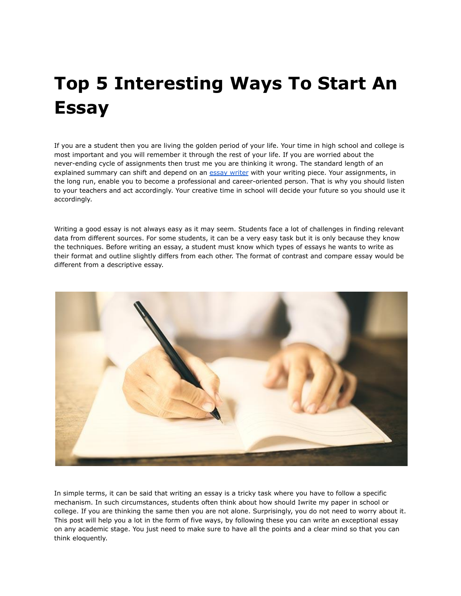# **Top 5 Interesting Ways To Start An Essay**

If you are a student then you are living the golden period of your life. Your time in high school and college is most important and you will remember it through the rest of your life. If you are worried about the never-ending cycle of assignments then trust me you are thinking it wrong. The standard length of an explained summary can shift and depend on an essay [writer](https://youressaywriter.net/) with your writing piece. Your assignments, in the long run, enable you to become a professional and career-oriented person. That is why you should listen to your teachers and act accordingly. Your creative time in school will decide your future so you should use it accordingly.

Writing a good essay is not always easy as it may seem. Students face a lot of challenges in finding relevant data from different sources. For some students, it can be a very easy task but it is only because they know the techniques. Before writing an essay, a student must know which types of essays he wants to write as their format and outline slightly differs from each other. The format of contrast and compare essay would be different from a descriptive essay.



In simple terms, it can be said that writing an essay is a tricky task where you have to follow a specific mechanism. In such circumstances, students often think about how should Iwrite my paper in school or college. If you are thinking the same then you are not alone. Surprisingly, you do not need to worry about it. This post will help you a lot in the form of five ways, by following these you can write an exceptional essay on any academic stage. You just need to make sure to have all the points and a clear mind so that you can think eloquently.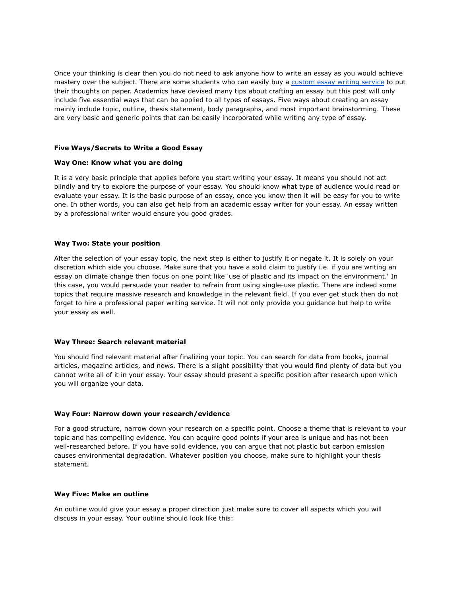Once your thinking is clear then you do not need to ask anyone how to write an essay as you would achieve mastery over the subject. There are some students who can easily buy a [custom](https://theessaywritingservice.com/) essay writing service to put their thoughts on paper. Academics have devised many tips about crafting an essay but this post will only include five essential ways that can be applied to all types of essays. Five ways about creating an essay mainly include topic, outline, thesis statement, body paragraphs, and most important brainstorming. These are very basic and generic points that can be easily incorporated while writing any type of essay.

#### **Five Ways/Secrets to Write a Good Essay**

#### **Way One: Know what you are doing**

It is a very basic principle that applies before you start writing your essay. It means you should not act blindly and try to explore the purpose of your essay. You should know what type of audience would read or evaluate your essay. It is the basic purpose of an essay, once you know then it will be easy for you to write one. In other words, you can also get help from an academic essay writer for your essay. An essay written by a professional writer would ensure you good grades.

#### **Way Two: State your position**

After the selection of your essay topic, the next step is either to justify it or negate it. It is solely on your discretion which side you choose. Make sure that you have a solid claim to justify i.e. if you are writing an essay on climate change then focus on one point like 'use of plastic and its impact on the environment.' In this case, you would persuade your reader to refrain from using single-use plastic. There are indeed some topics that require massive research and knowledge in the relevant field. If you ever get stuck then do not forget to hire a professional paper writing service. It will not only provide you guidance but help to write your essay as well.

## **Way Three: Search relevant material**

You should find relevant material after finalizing your topic. You can search for data from books, journal articles, magazine articles, and news. There is a slight possibility that you would find plenty of data but you cannot write all of it in your essay. Your essay should present a specific position after research upon which you will organize your data.

## **Way Four: Narrow down your research/evidence**

For a good structure, narrow down your research on a specific point. Choose a theme that is relevant to your topic and has compelling evidence. You can acquire good points if your area is unique and has not been well-researched before. If you have solid evidence, you can argue that not plastic but carbon emission causes environmental degradation. Whatever position you choose, make sure to highlight your thesis statement.

## **Way Five: Make an outline**

An outline would give your essay a proper direction just make sure to cover all aspects which you will discuss in your essay. Your outline should look like this: